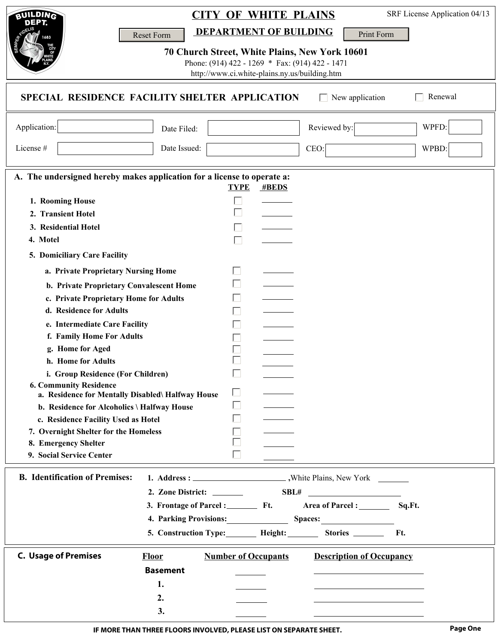| <b>BUILDING</b>                                                                                 |                                                  | <b>CITY OF WHITE PLAINS</b>                                                                      |                                                 | SRF License Application 04/13 |  |  |  |  |
|-------------------------------------------------------------------------------------------------|--------------------------------------------------|--------------------------------------------------------------------------------------------------|-------------------------------------------------|-------------------------------|--|--|--|--|
|                                                                                                 |                                                  | <b>DEPARTMENT OF BUILDING</b>                                                                    | Print Form                                      |                               |  |  |  |  |
|                                                                                                 | Reset Form                                       |                                                                                                  |                                                 |                               |  |  |  |  |
|                                                                                                 |                                                  | 70 Church Street, White Plains, New York 10601                                                   |                                                 |                               |  |  |  |  |
|                                                                                                 |                                                  | Phone: (914) 422 - 1269 * Fax: (914) 422 - 1471<br>http://www.ci.white-plains.ny.us/building.htm |                                                 |                               |  |  |  |  |
|                                                                                                 |                                                  |                                                                                                  |                                                 |                               |  |  |  |  |
| SPECIAL RESIDENCE FACILITY SHELTER APPLICATION<br>Renewal<br>New application                    |                                                  |                                                                                                  |                                                 |                               |  |  |  |  |
| Application:                                                                                    | Date Filed:                                      |                                                                                                  | Reviewed by:                                    | WPFD:                         |  |  |  |  |
| License #                                                                                       | Date Issued:                                     |                                                                                                  | CEO:                                            | WPBD:                         |  |  |  |  |
|                                                                                                 |                                                  |                                                                                                  |                                                 |                               |  |  |  |  |
| A. The undersigned hereby makes application for a license to operate a:<br><b>TYPE</b><br>#BEDS |                                                  |                                                                                                  |                                                 |                               |  |  |  |  |
| 1. Rooming House                                                                                |                                                  |                                                                                                  |                                                 |                               |  |  |  |  |
| 2. Transient Hotel                                                                              |                                                  |                                                                                                  |                                                 |                               |  |  |  |  |
| 3. Residential Hotel                                                                            |                                                  |                                                                                                  |                                                 |                               |  |  |  |  |
| 4. Motel                                                                                        |                                                  |                                                                                                  |                                                 |                               |  |  |  |  |
| 5. Domiciliary Care Facility                                                                    |                                                  |                                                                                                  |                                                 |                               |  |  |  |  |
|                                                                                                 |                                                  |                                                                                                  |                                                 |                               |  |  |  |  |
| a. Private Proprietary Nursing Home<br>b. Private Proprietary Convalescent Home                 |                                                  |                                                                                                  |                                                 |                               |  |  |  |  |
| c. Private Proprietary Home for Adults                                                          |                                                  |                                                                                                  |                                                 |                               |  |  |  |  |
| d. Residence for Adults                                                                         |                                                  |                                                                                                  |                                                 |                               |  |  |  |  |
|                                                                                                 |                                                  |                                                                                                  |                                                 |                               |  |  |  |  |
| e. Intermediate Care Facility                                                                   |                                                  |                                                                                                  |                                                 |                               |  |  |  |  |
| f. Family Home For Adults<br>g. Home for Aged                                                   |                                                  |                                                                                                  |                                                 |                               |  |  |  |  |
|                                                                                                 |                                                  |                                                                                                  |                                                 |                               |  |  |  |  |
| h. Home for Adults                                                                              |                                                  |                                                                                                  |                                                 |                               |  |  |  |  |
| i. Group Residence (For Children)<br><b>6. Community Residence</b>                              |                                                  | $\Box$                                                                                           |                                                 |                               |  |  |  |  |
| a. Residence for Mentally Disabled\ Halfway House                                               |                                                  |                                                                                                  |                                                 |                               |  |  |  |  |
| b. Residence for Alcoholics \ Halfway House                                                     |                                                  |                                                                                                  |                                                 |                               |  |  |  |  |
| c. Residence Facility Used as Hotel                                                             |                                                  |                                                                                                  |                                                 |                               |  |  |  |  |
| 7. Overnight Shelter for the Homeless                                                           |                                                  |                                                                                                  |                                                 |                               |  |  |  |  |
| 8. Emergency Shelter                                                                            |                                                  |                                                                                                  |                                                 |                               |  |  |  |  |
| 9. Social Service Center                                                                        |                                                  |                                                                                                  |                                                 |                               |  |  |  |  |
| <b>B.</b> Identification of Premises:                                                           |                                                  |                                                                                                  |                                                 |                               |  |  |  |  |
|                                                                                                 |                                                  |                                                                                                  |                                                 |                               |  |  |  |  |
|                                                                                                 |                                                  | SBL#                                                                                             | <u> 1989 - Johann Barnett, fransk politik (</u> |                               |  |  |  |  |
|                                                                                                 | 3. Frontage of Parcel :____________ Ft.          |                                                                                                  |                                                 |                               |  |  |  |  |
|                                                                                                 | 4. Parking Provisions:                           |                                                                                                  | Spaces:                                         |                               |  |  |  |  |
|                                                                                                 | 5. Construction Type: Height: Stories ______ Ft. |                                                                                                  |                                                 |                               |  |  |  |  |
| <b>C. Usage of Premises</b>                                                                     | <b>Floor</b>                                     | <b>Number of Occupants</b>                                                                       | <b>Description of Occupancy</b>                 |                               |  |  |  |  |
|                                                                                                 | <b>Basement</b>                                  |                                                                                                  |                                                 |                               |  |  |  |  |
|                                                                                                 | 1.                                               |                                                                                                  |                                                 |                               |  |  |  |  |
|                                                                                                 | 2.                                               |                                                                                                  |                                                 |                               |  |  |  |  |
|                                                                                                 | 3.                                               |                                                                                                  |                                                 |                               |  |  |  |  |
|                                                                                                 |                                                  |                                                                                                  |                                                 |                               |  |  |  |  |

 $\mathsf{l}$